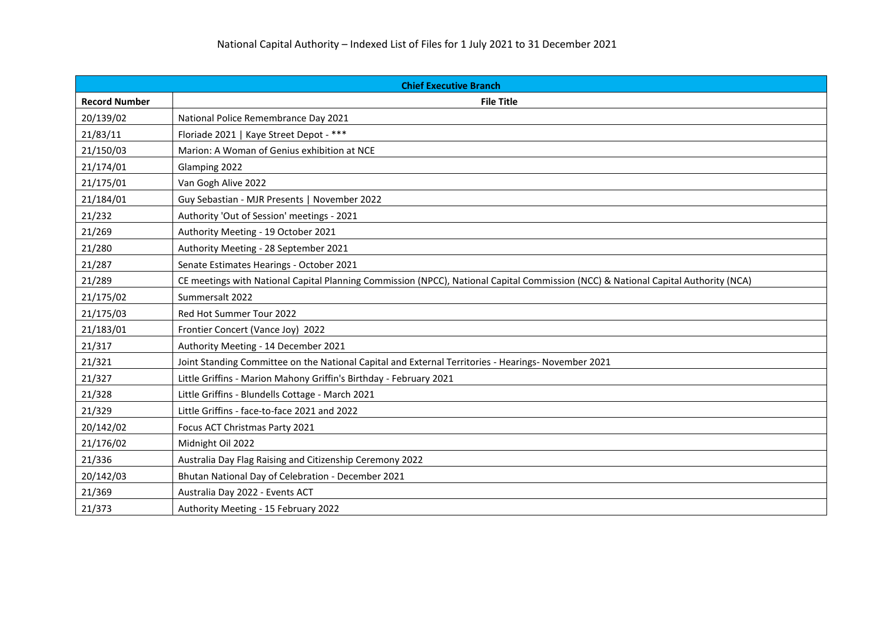| <b>Chief Executive Branch</b> |                                                                                                                                    |
|-------------------------------|------------------------------------------------------------------------------------------------------------------------------------|
| <b>Record Number</b>          | <b>File Title</b>                                                                                                                  |
| 20/139/02                     | National Police Remembrance Day 2021                                                                                               |
| 21/83/11                      | Floriade 2021   Kaye Street Depot - ***                                                                                            |
| 21/150/03                     | Marion: A Woman of Genius exhibition at NCE                                                                                        |
| 21/174/01                     | Glamping 2022                                                                                                                      |
| 21/175/01                     | Van Gogh Alive 2022                                                                                                                |
| 21/184/01                     | Guy Sebastian - MJR Presents   November 2022                                                                                       |
| 21/232                        | Authority 'Out of Session' meetings - 2021                                                                                         |
| 21/269                        | Authority Meeting - 19 October 2021                                                                                                |
| 21/280                        | Authority Meeting - 28 September 2021                                                                                              |
| 21/287                        | Senate Estimates Hearings - October 2021                                                                                           |
| 21/289                        | CE meetings with National Capital Planning Commission (NPCC), National Capital Commission (NCC) & National Capital Authority (NCA) |
| 21/175/02                     | Summersalt 2022                                                                                                                    |
| 21/175/03                     | Red Hot Summer Tour 2022                                                                                                           |
| 21/183/01                     | Frontier Concert (Vance Joy) 2022                                                                                                  |
| 21/317                        | Authority Meeting - 14 December 2021                                                                                               |
| 21/321                        | Joint Standing Committee on the National Capital and External Territories - Hearings- November 2021                                |
| 21/327                        | Little Griffins - Marion Mahony Griffin's Birthday - February 2021                                                                 |
| 21/328                        | Little Griffins - Blundells Cottage - March 2021                                                                                   |
| 21/329                        | Little Griffins - face-to-face 2021 and 2022                                                                                       |
| 20/142/02                     | Focus ACT Christmas Party 2021                                                                                                     |
| 21/176/02                     | Midnight Oil 2022                                                                                                                  |
| 21/336                        | Australia Day Flag Raising and Citizenship Ceremony 2022                                                                           |
| 20/142/03                     | Bhutan National Day of Celebration - December 2021                                                                                 |
| 21/369                        | Australia Day 2022 - Events ACT                                                                                                    |
| 21/373                        | Authority Meeting - 15 February 2022                                                                                               |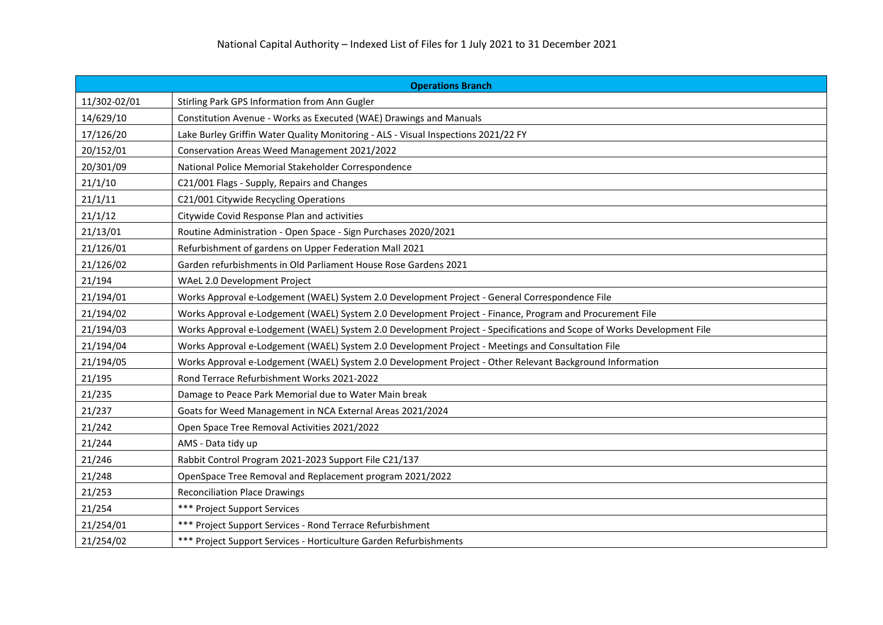| <b>Operations Branch</b> |                                                                                                                       |
|--------------------------|-----------------------------------------------------------------------------------------------------------------------|
| 11/302-02/01             | Stirling Park GPS Information from Ann Gugler                                                                         |
| 14/629/10                | Constitution Avenue - Works as Executed (WAE) Drawings and Manuals                                                    |
| 17/126/20                | Lake Burley Griffin Water Quality Monitoring - ALS - Visual Inspections 2021/22 FY                                    |
| 20/152/01                | Conservation Areas Weed Management 2021/2022                                                                          |
| 20/301/09                | National Police Memorial Stakeholder Correspondence                                                                   |
| 21/1/10                  | C21/001 Flags - Supply, Repairs and Changes                                                                           |
| 21/1/11                  | C21/001 Citywide Recycling Operations                                                                                 |
| 21/1/12                  | Citywide Covid Response Plan and activities                                                                           |
| 21/13/01                 | Routine Administration - Open Space - Sign Purchases 2020/2021                                                        |
| 21/126/01                | Refurbishment of gardens on Upper Federation Mall 2021                                                                |
| 21/126/02                | Garden refurbishments in Old Parliament House Rose Gardens 2021                                                       |
| 21/194                   | WAeL 2.0 Development Project                                                                                          |
| 21/194/01                | Works Approval e-Lodgement (WAEL) System 2.0 Development Project - General Correspondence File                        |
| 21/194/02                | Works Approval e-Lodgement (WAEL) System 2.0 Development Project - Finance, Program and Procurement File              |
| 21/194/03                | Works Approval e-Lodgement (WAEL) System 2.0 Development Project - Specifications and Scope of Works Development File |
| 21/194/04                | Works Approval e-Lodgement (WAEL) System 2.0 Development Project - Meetings and Consultation File                     |
| 21/194/05                | Works Approval e-Lodgement (WAEL) System 2.0 Development Project - Other Relevant Background Information              |
| 21/195                   | Rond Terrace Refurbishment Works 2021-2022                                                                            |
| 21/235                   | Damage to Peace Park Memorial due to Water Main break                                                                 |
| 21/237                   | Goats for Weed Management in NCA External Areas 2021/2024                                                             |
| 21/242                   | Open Space Tree Removal Activities 2021/2022                                                                          |
| 21/244                   | AMS - Data tidy up                                                                                                    |
| 21/246                   | Rabbit Control Program 2021-2023 Support File C21/137                                                                 |
| 21/248                   | OpenSpace Tree Removal and Replacement program 2021/2022                                                              |
| 21/253                   | <b>Reconciliation Place Drawings</b>                                                                                  |
| 21/254                   | *** Project Support Services                                                                                          |
| 21/254/01                | *** Project Support Services - Rond Terrace Refurbishment                                                             |
| 21/254/02                | *** Project Support Services - Horticulture Garden Refurbishments                                                     |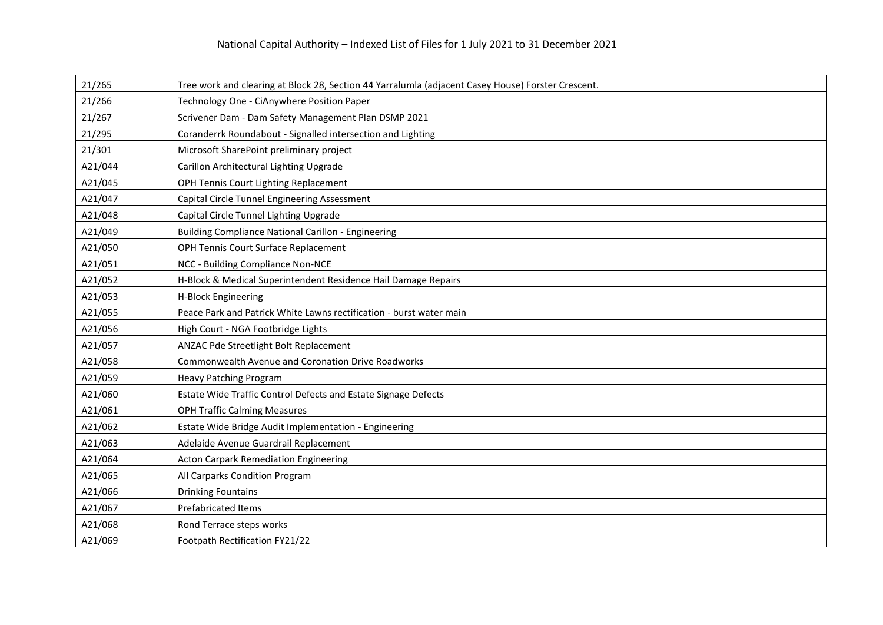## National Capital Authority – Indexed List of Files for 1 July 2021 to 31 December 2021

| 21/265  | Tree work and clearing at Block 28, Section 44 Yarralumla (adjacent Casey House) Forster Crescent. |
|---------|----------------------------------------------------------------------------------------------------|
| 21/266  | Technology One - CiAnywhere Position Paper                                                         |
| 21/267  | Scrivener Dam - Dam Safety Management Plan DSMP 2021                                               |
| 21/295  | Coranderrk Roundabout - Signalled intersection and Lighting                                        |
| 21/301  | Microsoft SharePoint preliminary project                                                           |
| A21/044 | Carillon Architectural Lighting Upgrade                                                            |
| A21/045 | OPH Tennis Court Lighting Replacement                                                              |
| A21/047 | Capital Circle Tunnel Engineering Assessment                                                       |
| A21/048 | Capital Circle Tunnel Lighting Upgrade                                                             |
| A21/049 | <b>Building Compliance National Carillon - Engineering</b>                                         |
| A21/050 | OPH Tennis Court Surface Replacement                                                               |
| A21/051 | NCC - Building Compliance Non-NCE                                                                  |
| A21/052 | H-Block & Medical Superintendent Residence Hail Damage Repairs                                     |
| A21/053 | H-Block Engineering                                                                                |
| A21/055 | Peace Park and Patrick White Lawns rectification - burst water main                                |
| A21/056 | High Court - NGA Footbridge Lights                                                                 |
| A21/057 | ANZAC Pde Streetlight Bolt Replacement                                                             |
| A21/058 | Commonwealth Avenue and Coronation Drive Roadworks                                                 |
| A21/059 | Heavy Patching Program                                                                             |
| A21/060 | Estate Wide Traffic Control Defects and Estate Signage Defects                                     |
| A21/061 | <b>OPH Traffic Calming Measures</b>                                                                |
| A21/062 | Estate Wide Bridge Audit Implementation - Engineering                                              |
| A21/063 | Adelaide Avenue Guardrail Replacement                                                              |
| A21/064 | <b>Acton Carpark Remediation Engineering</b>                                                       |
| A21/065 | All Carparks Condition Program                                                                     |
| A21/066 | <b>Drinking Fountains</b>                                                                          |
| A21/067 | <b>Prefabricated Items</b>                                                                         |
| A21/068 | Rond Terrace steps works                                                                           |
| A21/069 | Footpath Rectification FY21/22                                                                     |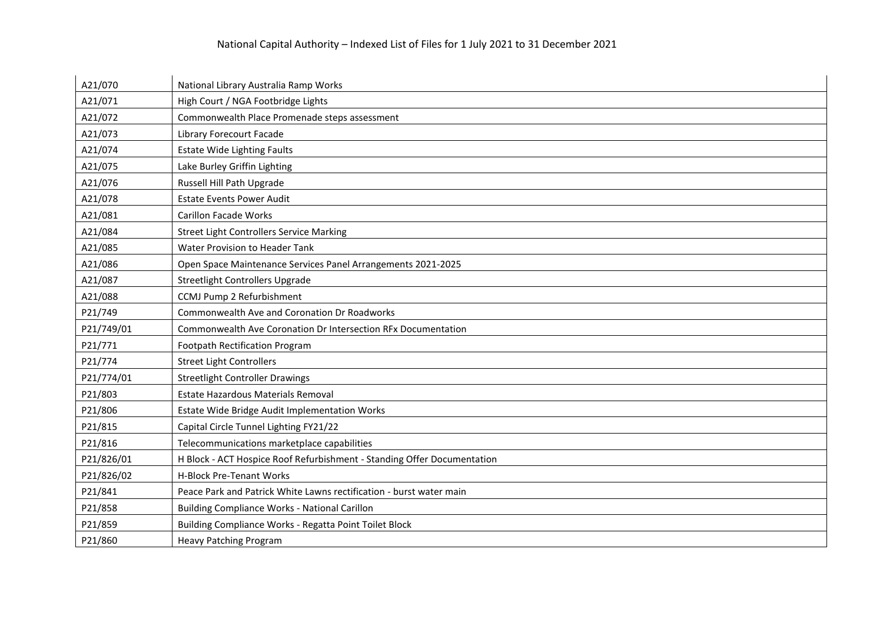| A21/070    | National Library Australia Ramp Works                                   |
|------------|-------------------------------------------------------------------------|
| A21/071    | High Court / NGA Footbridge Lights                                      |
| A21/072    | Commonwealth Place Promenade steps assessment                           |
| A21/073    | <b>Library Forecourt Facade</b>                                         |
| A21/074    | <b>Estate Wide Lighting Faults</b>                                      |
| A21/075    | Lake Burley Griffin Lighting                                            |
| A21/076    | Russell Hill Path Upgrade                                               |
| A21/078    | <b>Estate Events Power Audit</b>                                        |
| A21/081    | <b>Carillon Facade Works</b>                                            |
| A21/084    | <b>Street Light Controllers Service Marking</b>                         |
| A21/085    | Water Provision to Header Tank                                          |
| A21/086    | Open Space Maintenance Services Panel Arrangements 2021-2025            |
| A21/087    | <b>Streetlight Controllers Upgrade</b>                                  |
| A21/088    | CCMJ Pump 2 Refurbishment                                               |
| P21/749    | Commonwealth Ave and Coronation Dr Roadworks                            |
| P21/749/01 | Commonwealth Ave Coronation Dr Intersection RFx Documentation           |
| P21/771    | <b>Footpath Rectification Program</b>                                   |
| P21/774    | <b>Street Light Controllers</b>                                         |
| P21/774/01 | <b>Streetlight Controller Drawings</b>                                  |
| P21/803    | Estate Hazardous Materials Removal                                      |
| P21/806    | Estate Wide Bridge Audit Implementation Works                           |
| P21/815    | Capital Circle Tunnel Lighting FY21/22                                  |
| P21/816    | Telecommunications marketplace capabilities                             |
| P21/826/01 | H Block - ACT Hospice Roof Refurbishment - Standing Offer Documentation |
| P21/826/02 | <b>H-Block Pre-Tenant Works</b>                                         |
| P21/841    | Peace Park and Patrick White Lawns rectification - burst water main     |
| P21/858    | <b>Building Compliance Works - National Carillon</b>                    |
| P21/859    | Building Compliance Works - Regatta Point Toilet Block                  |
| P21/860    | <b>Heavy Patching Program</b>                                           |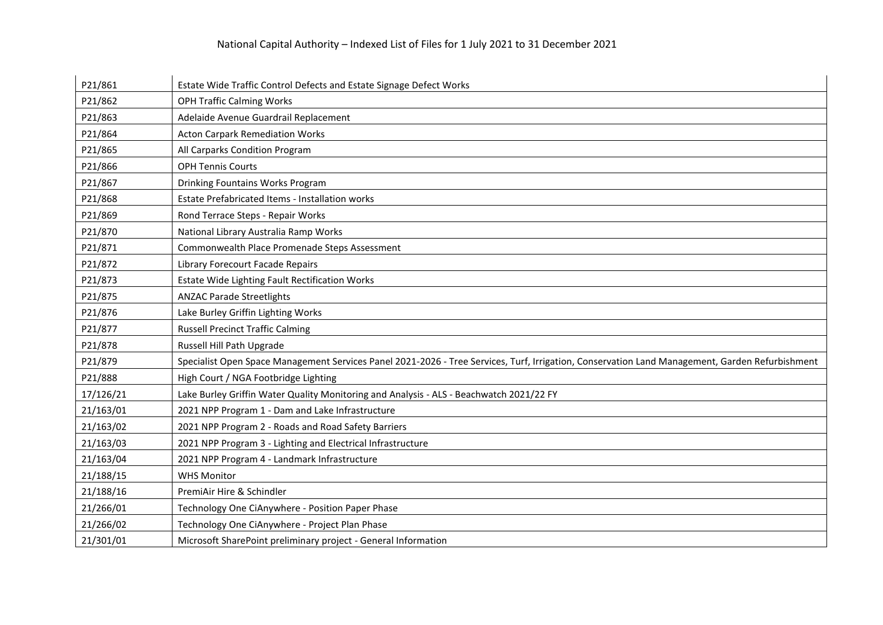| P21/861   | Estate Wide Traffic Control Defects and Estate Signage Defect Works                                                                             |
|-----------|-------------------------------------------------------------------------------------------------------------------------------------------------|
| P21/862   | <b>OPH Traffic Calming Works</b>                                                                                                                |
| P21/863   | Adelaide Avenue Guardrail Replacement                                                                                                           |
| P21/864   | <b>Acton Carpark Remediation Works</b>                                                                                                          |
| P21/865   | All Carparks Condition Program                                                                                                                  |
| P21/866   | <b>OPH Tennis Courts</b>                                                                                                                        |
| P21/867   | Drinking Fountains Works Program                                                                                                                |
| P21/868   | <b>Estate Prefabricated Items - Installation works</b>                                                                                          |
| P21/869   | Rond Terrace Steps - Repair Works                                                                                                               |
| P21/870   | National Library Australia Ramp Works                                                                                                           |
| P21/871   | Commonwealth Place Promenade Steps Assessment                                                                                                   |
| P21/872   | Library Forecourt Facade Repairs                                                                                                                |
| P21/873   | <b>Estate Wide Lighting Fault Rectification Works</b>                                                                                           |
| P21/875   | <b>ANZAC Parade Streetlights</b>                                                                                                                |
| P21/876   | Lake Burley Griffin Lighting Works                                                                                                              |
| P21/877   | <b>Russell Precinct Traffic Calming</b>                                                                                                         |
| P21/878   | Russell Hill Path Upgrade                                                                                                                       |
| P21/879   | Specialist Open Space Management Services Panel 2021-2026 - Tree Services, Turf, Irrigation, Conservation Land Management, Garden Refurbishment |
| P21/888   | High Court / NGA Footbridge Lighting                                                                                                            |
| 17/126/21 | Lake Burley Griffin Water Quality Monitoring and Analysis - ALS - Beachwatch 2021/22 FY                                                         |
| 21/163/01 | 2021 NPP Program 1 - Dam and Lake Infrastructure                                                                                                |
| 21/163/02 | 2021 NPP Program 2 - Roads and Road Safety Barriers                                                                                             |
| 21/163/03 | 2021 NPP Program 3 - Lighting and Electrical Infrastructure                                                                                     |
| 21/163/04 | 2021 NPP Program 4 - Landmark Infrastructure                                                                                                    |
| 21/188/15 | <b>WHS Monitor</b>                                                                                                                              |
| 21/188/16 | PremiAir Hire & Schindler                                                                                                                       |
| 21/266/01 | Technology One CiAnywhere - Position Paper Phase                                                                                                |
| 21/266/02 | Technology One CiAnywhere - Project Plan Phase                                                                                                  |
| 21/301/01 | Microsoft SharePoint preliminary project - General Information                                                                                  |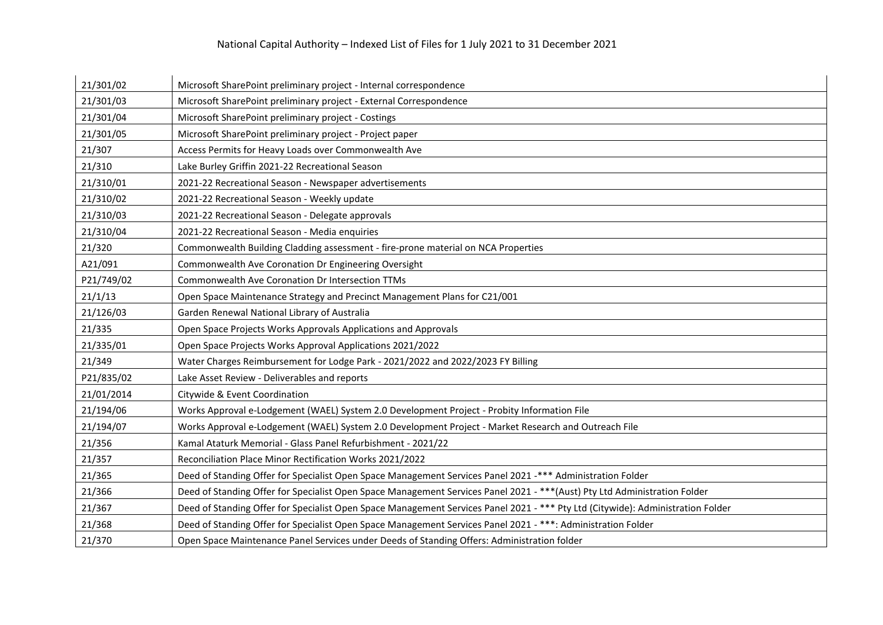| 21/301/02  | Microsoft SharePoint preliminary project - Internal correspondence                                                              |
|------------|---------------------------------------------------------------------------------------------------------------------------------|
| 21/301/03  | Microsoft SharePoint preliminary project - External Correspondence                                                              |
| 21/301/04  | Microsoft SharePoint preliminary project - Costings                                                                             |
| 21/301/05  | Microsoft SharePoint preliminary project - Project paper                                                                        |
| 21/307     | Access Permits for Heavy Loads over Commonwealth Ave                                                                            |
| 21/310     | Lake Burley Griffin 2021-22 Recreational Season                                                                                 |
| 21/310/01  | 2021-22 Recreational Season - Newspaper advertisements                                                                          |
| 21/310/02  | 2021-22 Recreational Season - Weekly update                                                                                     |
| 21/310/03  | 2021-22 Recreational Season - Delegate approvals                                                                                |
| 21/310/04  | 2021-22 Recreational Season - Media enquiries                                                                                   |
| 21/320     | Commonwealth Building Cladding assessment - fire-prone material on NCA Properties                                               |
| A21/091    | Commonwealth Ave Coronation Dr Engineering Oversight                                                                            |
| P21/749/02 | Commonwealth Ave Coronation Dr Intersection TTMs                                                                                |
| 21/1/13    | Open Space Maintenance Strategy and Precinct Management Plans for C21/001                                                       |
| 21/126/03  | Garden Renewal National Library of Australia                                                                                    |
| 21/335     | Open Space Projects Works Approvals Applications and Approvals                                                                  |
| 21/335/01  | Open Space Projects Works Approval Applications 2021/2022                                                                       |
| 21/349     | Water Charges Reimbursement for Lodge Park - 2021/2022 and 2022/2023 FY Billing                                                 |
| P21/835/02 | Lake Asset Review - Deliverables and reports                                                                                    |
| 21/01/2014 | Citywide & Event Coordination                                                                                                   |
| 21/194/06  | Works Approval e-Lodgement (WAEL) System 2.0 Development Project - Probity Information File                                     |
| 21/194/07  | Works Approval e-Lodgement (WAEL) System 2.0 Development Project - Market Research and Outreach File                            |
| 21/356     | Kamal Ataturk Memorial - Glass Panel Refurbishment - 2021/22                                                                    |
| 21/357     | Reconciliation Place Minor Rectification Works 2021/2022                                                                        |
| 21/365     | Deed of Standing Offer for Specialist Open Space Management Services Panel 2021 -*** Administration Folder                      |
| 21/366     | Deed of Standing Offer for Specialist Open Space Management Services Panel 2021 - *** (Aust) Pty Ltd Administration Folder      |
| 21/367     | Deed of Standing Offer for Specialist Open Space Management Services Panel 2021 - *** Pty Ltd (Citywide): Administration Folder |
| 21/368     | Deed of Standing Offer for Specialist Open Space Management Services Panel 2021 - ***: Administration Folder                    |
| 21/370     | Open Space Maintenance Panel Services under Deeds of Standing Offers: Administration folder                                     |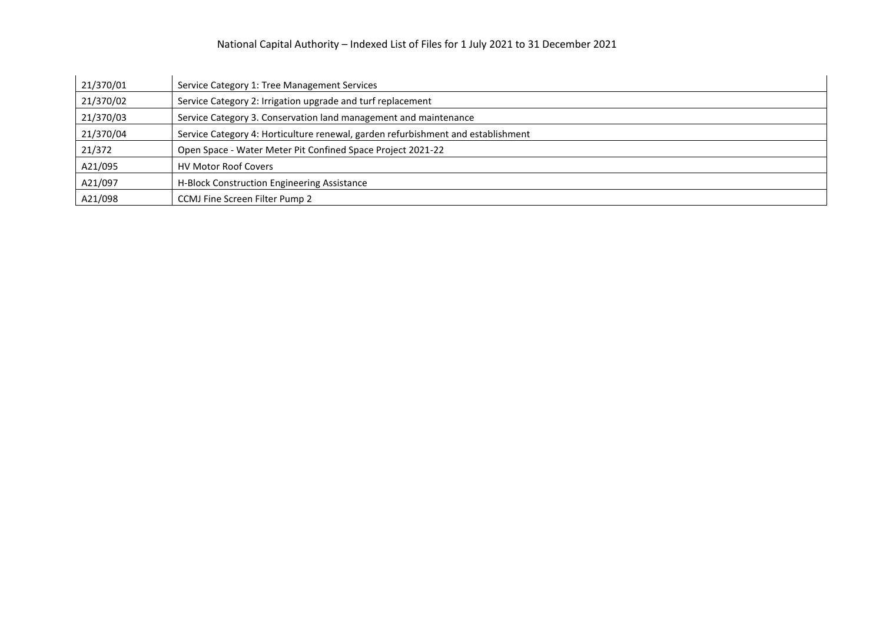| 21/370/01 | Service Category 1: Tree Management Services                                     |
|-----------|----------------------------------------------------------------------------------|
| 21/370/02 | Service Category 2: Irrigation upgrade and turf replacement                      |
| 21/370/03 | Service Category 3. Conservation land management and maintenance                 |
| 21/370/04 | Service Category 4: Horticulture renewal, garden refurbishment and establishment |
| 21/372    | Open Space - Water Meter Pit Confined Space Project 2021-22                      |
| A21/095   | <b>HV Motor Roof Covers</b>                                                      |
| A21/097   | H-Block Construction Engineering Assistance                                      |
| A21/098   | CCMJ Fine Screen Filter Pump 2                                                   |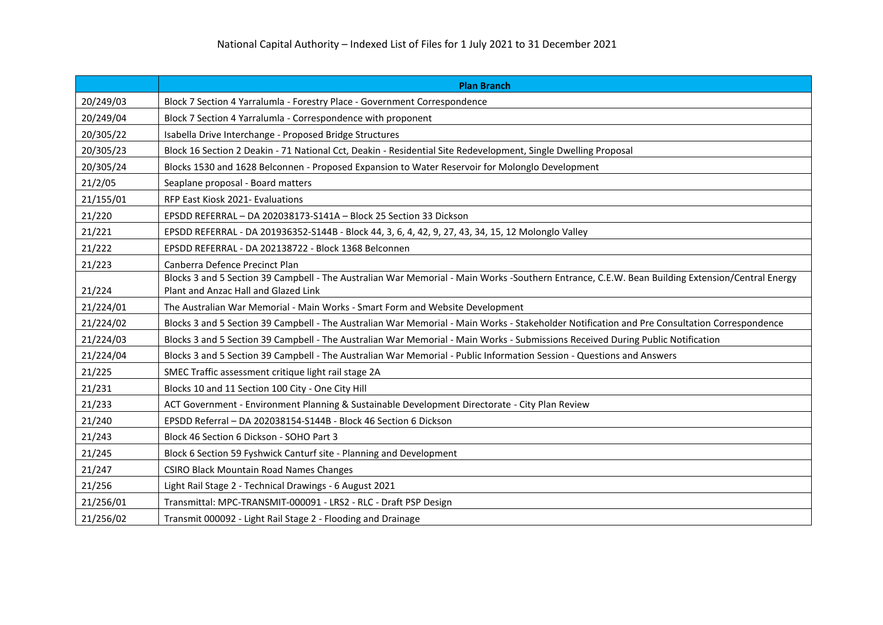|           | <b>Plan Branch</b>                                                                                                                              |
|-----------|-------------------------------------------------------------------------------------------------------------------------------------------------|
| 20/249/03 | Block 7 Section 4 Yarralumla - Forestry Place - Government Correspondence                                                                       |
| 20/249/04 | Block 7 Section 4 Yarralumla - Correspondence with proponent                                                                                    |
| 20/305/22 | Isabella Drive Interchange - Proposed Bridge Structures                                                                                         |
| 20/305/23 | Block 16 Section 2 Deakin - 71 National Cct, Deakin - Residential Site Redevelopment, Single Dwelling Proposal                                  |
| 20/305/24 | Blocks 1530 and 1628 Belconnen - Proposed Expansion to Water Reservoir for Molonglo Development                                                 |
| 21/2/05   | Seaplane proposal - Board matters                                                                                                               |
| 21/155/01 | RFP East Kiosk 2021- Evaluations                                                                                                                |
| 21/220    | EPSDD REFERRAL - DA 202038173-S141A - Block 25 Section 33 Dickson                                                                               |
| 21/221    | EPSDD REFERRAL - DA 201936352-S144B - Block 44, 3, 6, 4, 42, 9, 27, 43, 34, 15, 12 Molonglo Valley                                              |
| 21/222    | EPSDD REFERRAL - DA 202138722 - Block 1368 Belconnen                                                                                            |
| 21/223    | Canberra Defence Precinct Plan                                                                                                                  |
|           | Blocks 3 and 5 Section 39 Campbell - The Australian War Memorial - Main Works -Southern Entrance, C.E.W. Bean Building Extension/Central Energy |
| 21/224    | Plant and Anzac Hall and Glazed Link                                                                                                            |
| 21/224/01 | The Australian War Memorial - Main Works - Smart Form and Website Development                                                                   |
| 21/224/02 | Blocks 3 and 5 Section 39 Campbell - The Australian War Memorial - Main Works - Stakeholder Notification and Pre Consultation Correspondence    |
| 21/224/03 | Blocks 3 and 5 Section 39 Campbell - The Australian War Memorial - Main Works - Submissions Received During Public Notification                 |
| 21/224/04 | Blocks 3 and 5 Section 39 Campbell - The Australian War Memorial - Public Information Session - Questions and Answers                           |
| 21/225    | SMEC Traffic assessment critique light rail stage 2A                                                                                            |
| 21/231    | Blocks 10 and 11 Section 100 City - One City Hill                                                                                               |
| 21/233    | ACT Government - Environment Planning & Sustainable Development Directorate - City Plan Review                                                  |
| 21/240    | EPSDD Referral - DA 202038154-S144B - Block 46 Section 6 Dickson                                                                                |
| 21/243    | Block 46 Section 6 Dickson - SOHO Part 3                                                                                                        |
| 21/245    | Block 6 Section 59 Fyshwick Canturf site - Planning and Development                                                                             |
| 21/247    | <b>CSIRO Black Mountain Road Names Changes</b>                                                                                                  |
| 21/256    | Light Rail Stage 2 - Technical Drawings - 6 August 2021                                                                                         |
| 21/256/01 | Transmittal: MPC-TRANSMIT-000091 - LRS2 - RLC - Draft PSP Design                                                                                |
| 21/256/02 | Transmit 000092 - Light Rail Stage 2 - Flooding and Drainage                                                                                    |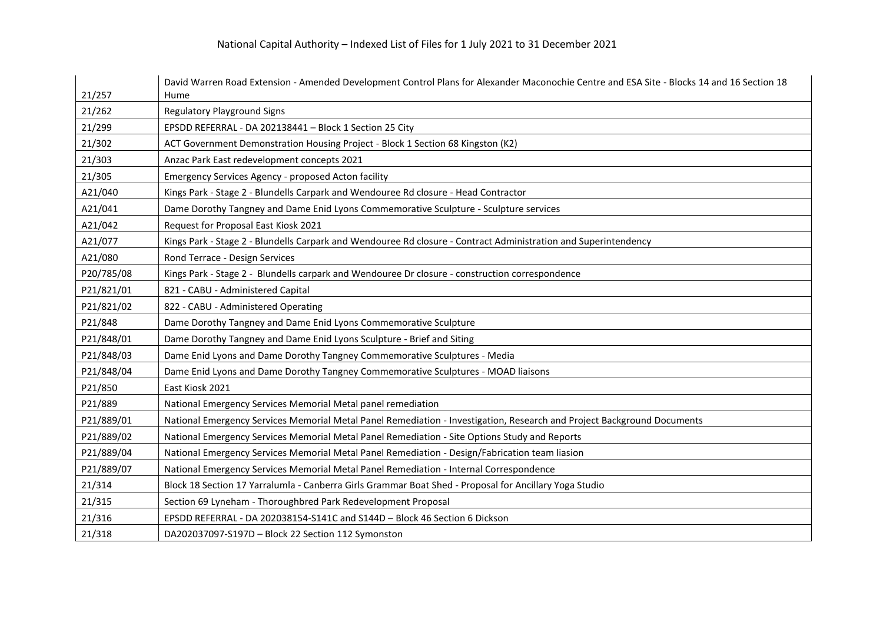| 21/257     | David Warren Road Extension - Amended Development Control Plans for Alexander Maconochie Centre and ESA Site - Blocks 14 and 16 Section 18<br>Hume |
|------------|----------------------------------------------------------------------------------------------------------------------------------------------------|
| 21/262     | <b>Regulatory Playground Signs</b>                                                                                                                 |
| 21/299     | EPSDD REFERRAL - DA 202138441 - Block 1 Section 25 City                                                                                            |
| 21/302     | ACT Government Demonstration Housing Project - Block 1 Section 68 Kingston (K2)                                                                    |
| 21/303     | Anzac Park East redevelopment concepts 2021                                                                                                        |
| 21/305     | Emergency Services Agency - proposed Acton facility                                                                                                |
| A21/040    | Kings Park - Stage 2 - Blundells Carpark and Wendouree Rd closure - Head Contractor                                                                |
| A21/041    | Dame Dorothy Tangney and Dame Enid Lyons Commemorative Sculpture - Sculpture services                                                              |
| A21/042    | Request for Proposal East Kiosk 2021                                                                                                               |
| A21/077    | Kings Park - Stage 2 - Blundells Carpark and Wendouree Rd closure - Contract Administration and Superintendency                                    |
| A21/080    | Rond Terrace - Design Services                                                                                                                     |
| P20/785/08 | Kings Park - Stage 2 - Blundells carpark and Wendouree Dr closure - construction correspondence                                                    |
| P21/821/01 | 821 - CABU - Administered Capital                                                                                                                  |
| P21/821/02 | 822 - CABU - Administered Operating                                                                                                                |
| P21/848    | Dame Dorothy Tangney and Dame Enid Lyons Commemorative Sculpture                                                                                   |
| P21/848/01 | Dame Dorothy Tangney and Dame Enid Lyons Sculpture - Brief and Siting                                                                              |
| P21/848/03 | Dame Enid Lyons and Dame Dorothy Tangney Commemorative Sculptures - Media                                                                          |
| P21/848/04 | Dame Enid Lyons and Dame Dorothy Tangney Commemorative Sculptures - MOAD liaisons                                                                  |
| P21/850    | East Kiosk 2021                                                                                                                                    |
| P21/889    | National Emergency Services Memorial Metal panel remediation                                                                                       |
| P21/889/01 | National Emergency Services Memorial Metal Panel Remediation - Investigation, Research and Project Background Documents                            |
| P21/889/02 | National Emergency Services Memorial Metal Panel Remediation - Site Options Study and Reports                                                      |
| P21/889/04 | National Emergency Services Memorial Metal Panel Remediation - Design/Fabrication team liasion                                                     |
| P21/889/07 | National Emergency Services Memorial Metal Panel Remediation - Internal Correspondence                                                             |
| 21/314     | Block 18 Section 17 Yarralumla - Canberra Girls Grammar Boat Shed - Proposal for Ancillary Yoga Studio                                             |
| 21/315     | Section 69 Lyneham - Thoroughbred Park Redevelopment Proposal                                                                                      |
| 21/316     | EPSDD REFERRAL - DA 202038154-S141C and S144D - Block 46 Section 6 Dickson                                                                         |
| 21/318     | DA202037097-S197D - Block 22 Section 112 Symonston                                                                                                 |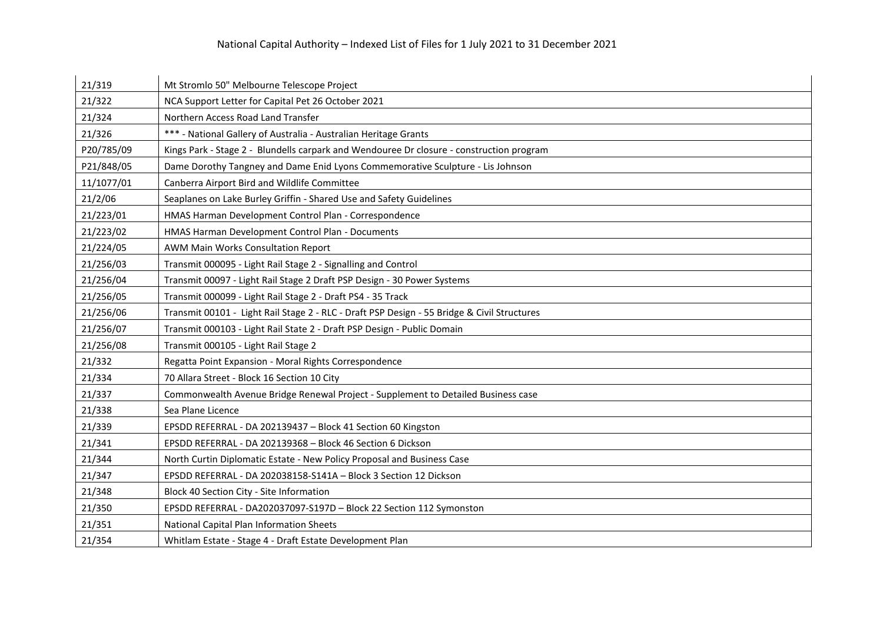| 21/319     | Mt Stromlo 50" Melbourne Telescope Project                                                  |
|------------|---------------------------------------------------------------------------------------------|
| 21/322     | NCA Support Letter for Capital Pet 26 October 2021                                          |
| 21/324     | Northern Access Road Land Transfer                                                          |
| 21/326     | *** - National Gallery of Australia - Australian Heritage Grants                            |
| P20/785/09 | Kings Park - Stage 2 - Blundells carpark and Wendouree Dr closure - construction program    |
| P21/848/05 | Dame Dorothy Tangney and Dame Enid Lyons Commemorative Sculpture - Lis Johnson              |
| 11/1077/01 | Canberra Airport Bird and Wildlife Committee                                                |
| 21/2/06    | Seaplanes on Lake Burley Griffin - Shared Use and Safety Guidelines                         |
| 21/223/01  | HMAS Harman Development Control Plan - Correspondence                                       |
| 21/223/02  | HMAS Harman Development Control Plan - Documents                                            |
| 21/224/05  | AWM Main Works Consultation Report                                                          |
| 21/256/03  | Transmit 000095 - Light Rail Stage 2 - Signalling and Control                               |
| 21/256/04  | Transmit 00097 - Light Rail Stage 2 Draft PSP Design - 30 Power Systems                     |
| 21/256/05  | Transmit 000099 - Light Rail Stage 2 - Draft PS4 - 35 Track                                 |
| 21/256/06  | Transmit 00101 - Light Rail Stage 2 - RLC - Draft PSP Design - 55 Bridge & Civil Structures |
| 21/256/07  | Transmit 000103 - Light Rail State 2 - Draft PSP Design - Public Domain                     |
| 21/256/08  | Transmit 000105 - Light Rail Stage 2                                                        |
| 21/332     | Regatta Point Expansion - Moral Rights Correspondence                                       |
| 21/334     | 70 Allara Street - Block 16 Section 10 City                                                 |
| 21/337     | Commonwealth Avenue Bridge Renewal Project - Supplement to Detailed Business case           |
| 21/338     | Sea Plane Licence                                                                           |
| 21/339     | EPSDD REFERRAL - DA 202139437 - Block 41 Section 60 Kingston                                |
| 21/341     | EPSDD REFERRAL - DA 202139368 - Block 46 Section 6 Dickson                                  |
| 21/344     | North Curtin Diplomatic Estate - New Policy Proposal and Business Case                      |
| 21/347     | EPSDD REFERRAL - DA 202038158-S141A - Block 3 Section 12 Dickson                            |
| 21/348     | Block 40 Section City - Site Information                                                    |
| 21/350     | EPSDD REFERRAL - DA202037097-S197D - Block 22 Section 112 Symonston                         |
| 21/351     | National Capital Plan Information Sheets                                                    |
| 21/354     | Whitlam Estate - Stage 4 - Draft Estate Development Plan                                    |